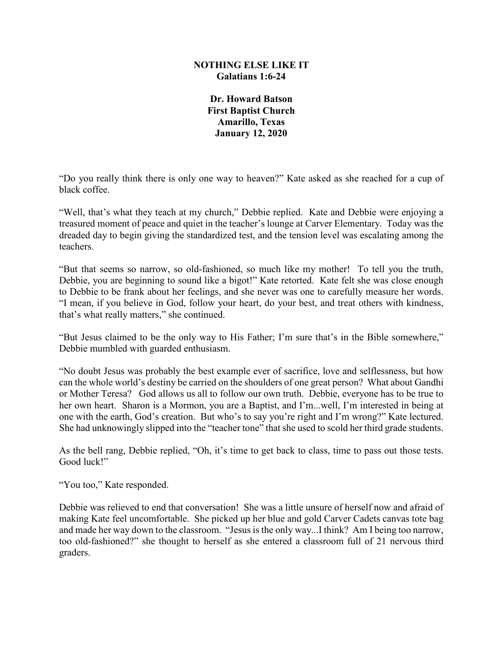## **NOTHING ELSE LIKE IT Galatians 1:6-24**

**Dr. Howard Batson First Baptist Church Amarillo, Texas January 12, 2020**

"Do you really think there is only one way to heaven?" Kate asked as she reached for a cup of black coffee.

"Well, that's what they teach at my church," Debbie replied. Kate and Debbie were enjoying a treasured moment of peace and quiet in the teacher's lounge at Carver Elementary. Today was the dreaded day to begin giving the standardized test, and the tension level was escalating among the teachers.

"But that seems so narrow, so old-fashioned, so much like my mother! To tell you the truth, Debbie, you are beginning to sound like a bigot!" Kate retorted. Kate felt she was close enough to Debbie to be frank about her feelings, and she never was one to carefully measure her words. "I mean, if you believe in God, follow your heart, do your best, and treat others with kindness, that's what really matters," she continued.

"But Jesus claimed to be the only way to His Father; I'm sure that's in the Bible somewhere," Debbie mumbled with guarded enthusiasm.

"No doubt Jesus was probably the best example ever of sacrifice, love and selflessness, but how can the whole world's destiny be carried on the shoulders of one great person? What about Gandhi or Mother Teresa? God allows us all to follow our own truth. Debbie, everyone has to be true to her own heart. Sharon is a Mormon, you are a Baptist, and I'm...well, I'm interested in being at one with the earth, God's creation. But who's to say you're right and I'm wrong?" Kate lectured. She had unknowingly slipped into the "teacher tone" that she used to scold her third grade students.

As the bell rang, Debbie replied, "Oh, it's time to get back to class, time to pass out those tests. Good luck!"

"You too," Kate responded.

Debbie was relieved to end that conversation! She was a little unsure of herself now and afraid of making Kate feel uncomfortable. She picked up her blue and gold Carver Cadets canvas tote bag and made her way down to the classroom. "Jesus is the only way...I think? Am I being too narrow, too old-fashioned?" she thought to herself as she entered a classroom full of 21 nervous third graders.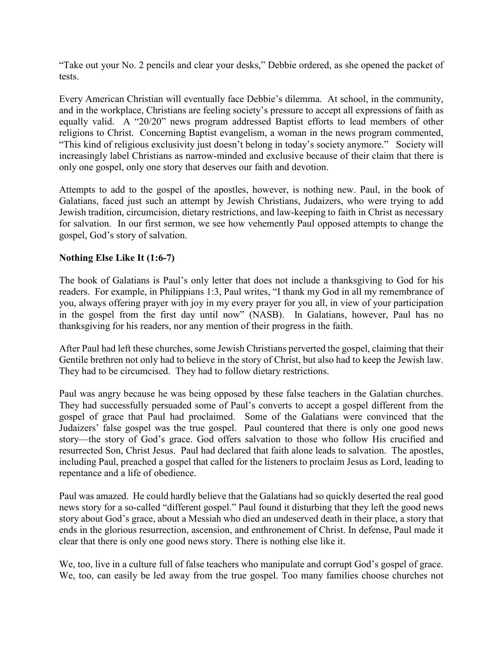"Take out your No. 2 pencils and clear your desks," Debbie ordered, as she opened the packet of tests.

Every American Christian will eventually face Debbie's dilemma. At school, in the community, and in the workplace, Christians are feeling society's pressure to accept all expressions of faith as equally valid. A "20/20" news program addressed Baptist efforts to lead members of other religions to Christ. Concerning Baptist evangelism, a woman in the news program commented, "This kind of religious exclusivity just doesn't belong in today's society anymore." Society will increasingly label Christians as narrow-minded and exclusive because of their claim that there is only one gospel, only one story that deserves our faith and devotion.

Attempts to add to the gospel of the apostles, however, is nothing new. Paul, in the book of Galatians, faced just such an attempt by Jewish Christians, Judaizers, who were trying to add Jewish tradition, circumcision, dietary restrictions, and law-keeping to faith in Christ as necessary for salvation. In our first sermon, we see how vehemently Paul opposed attempts to change the gospel, God's story of salvation.

## **Nothing Else Like It (1:6-7)**

The book of Galatians is Paul's only letter that does not include a thanksgiving to God for his readers. For example, in Philippians 1:3, Paul writes, "I thank my God in all my remembrance of you, always offering prayer with joy in my every prayer for you all, in view of your participation in the gospel from the first day until now" (NASB). In Galatians, however, Paul has no thanksgiving for his readers, nor any mention of their progress in the faith.

After Paul had left these churches, some Jewish Christians perverted the gospel, claiming that their Gentile brethren not only had to believe in the story of Christ, but also had to keep the Jewish law. They had to be circumcised. They had to follow dietary restrictions.

Paul was angry because he was being opposed by these false teachers in the Galatian churches. They had successfully persuaded some of Paul's converts to accept a gospel different from the gospel of grace that Paul had proclaimed. Some of the Galatians were convinced that the Judaizers' false gospel was the true gospel. Paul countered that there is only one good news story—the story of God's grace. God offers salvation to those who follow His crucified and resurrected Son, Christ Jesus. Paul had declared that faith alone leads to salvation. The apostles, including Paul, preached a gospel that called for the listeners to proclaim Jesus as Lord, leading to repentance and a life of obedience.

Paul was amazed. He could hardly believe that the Galatians had so quickly deserted the real good news story for a so-called "different gospel." Paul found it disturbing that they left the good news story about God's grace, about a Messiah who died an undeserved death in their place, a story that ends in the glorious resurrection, ascension, and enthronement of Christ. In defense, Paul made it clear that there is only one good news story. There is nothing else like it.

We, too, live in a culture full of false teachers who manipulate and corrupt God's gospel of grace. We, too, can easily be led away from the true gospel. Too many families choose churches not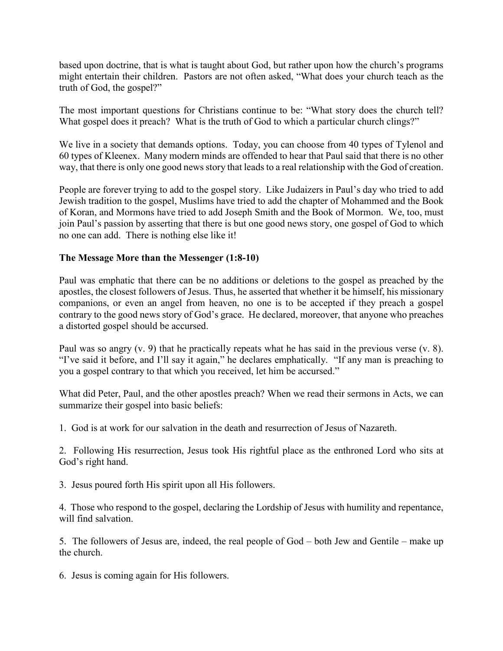based upon doctrine, that is what is taught about God, but rather upon how the church's programs might entertain their children. Pastors are not often asked, "What does your church teach as the truth of God, the gospel?"

The most important questions for Christians continue to be: "What story does the church tell? What gospel does it preach? What is the truth of God to which a particular church clings?"

We live in a society that demands options. Today, you can choose from 40 types of Tylenol and 60 types of Kleenex. Many modern minds are offended to hear that Paul said that there is no other way, that there is only one good news story that leads to a real relationship with the God of creation.

People are forever trying to add to the gospel story. Like Judaizers in Paul's day who tried to add Jewish tradition to the gospel, Muslims have tried to add the chapter of Mohammed and the Book of Koran, and Mormons have tried to add Joseph Smith and the Book of Mormon. We, too, must join Paul's passion by asserting that there is but one good news story, one gospel of God to which no one can add. There is nothing else like it!

## **The Message More than the Messenger (1:8-10)**

Paul was emphatic that there can be no additions or deletions to the gospel as preached by the apostles, the closest followers of Jesus. Thus, he asserted that whether it be himself, his missionary companions, or even an angel from heaven, no one is to be accepted if they preach a gospel contrary to the good news story of God's grace. He declared, moreover, that anyone who preaches a distorted gospel should be accursed.

Paul was so angry (v. 9) that he practically repeats what he has said in the previous verse (v. 8). "I've said it before, and I'll say it again," he declares emphatically. "If any man is preaching to you a gospel contrary to that which you received, let him be accursed."

What did Peter, Paul, and the other apostles preach? When we read their sermons in Acts, we can summarize their gospel into basic beliefs:

1. God is at work for our salvation in the death and resurrection of Jesus of Nazareth.

2. Following His resurrection, Jesus took His rightful place as the enthroned Lord who sits at God's right hand.

3. Jesus poured forth His spirit upon all His followers.

4. Those who respond to the gospel, declaring the Lordship of Jesus with humility and repentance, will find salvation.

5. The followers of Jesus are, indeed, the real people of God – both Jew and Gentile – make up the church.

6. Jesus is coming again for His followers.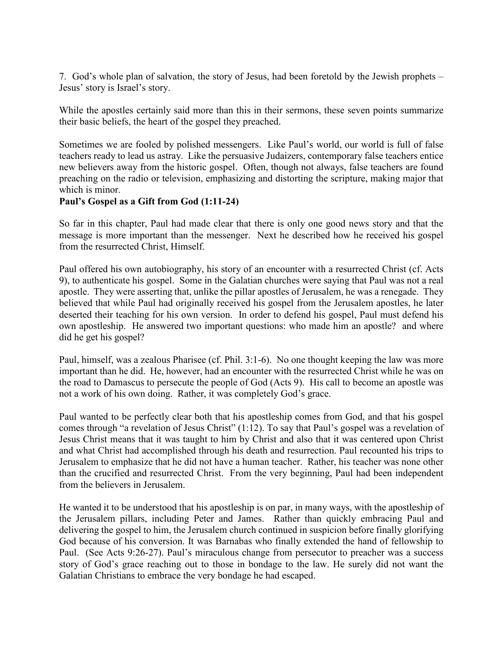7. God's whole plan of salvation, the story of Jesus, had been foretold by the Jewish prophets – Jesus' story is Israel's story.

While the apostles certainly said more than this in their sermons, these seven points summarize their basic beliefs, the heart of the gospel they preached.

Sometimes we are fooled by polished messengers. Like Paul's world, our world is full of false teachers ready to lead us astray. Like the persuasive Judaizers, contemporary false teachers entice new believers away from the historic gospel. Often, though not always, false teachers are found preaching on the radio or television, emphasizing and distorting the scripture, making major that which is minor.

## **Paul's Gospel as a Gift from God (1:11-24)**

So far in this chapter, Paul had made clear that there is only one good news story and that the message is more important than the messenger. Next he described how he received his gospel from the resurrected Christ, Himself.

Paul offered his own autobiography, his story of an encounter with a resurrected Christ (cf. Acts 9), to authenticate his gospel. Some in the Galatian churches were saying that Paul was not a real apostle. They were asserting that, unlike the pillar apostles of Jerusalem, he was a renegade. They believed that while Paul had originally received his gospel from the Jerusalem apostles, he later deserted their teaching for his own version. In order to defend his gospel, Paul must defend his own apostleship. He answered two important questions: who made him an apostle? and where did he get his gospel?

Paul, himself, was a zealous Pharisee (cf. Phil. 3:1-6). No one thought keeping the law was more important than he did. He, however, had an encounter with the resurrected Christ while he was on the road to Damascus to persecute the people of God (Acts 9). His call to become an apostle was not a work of his own doing. Rather, it was completely God's grace.

Paul wanted to be perfectly clear both that his apostleship comes from God, and that his gospel comes through "a revelation of Jesus Christ" (1:12). To say that Paul's gospel was a revelation of Jesus Christ means that it was taught to him by Christ and also that it was centered upon Christ and what Christ had accomplished through his death and resurrection. Paul recounted his trips to Jerusalem to emphasize that he did not have a human teacher. Rather, his teacher was none other than the crucified and resurrected Christ. From the very beginning, Paul had been independent from the believers in Jerusalem.

He wanted it to be understood that his apostleship is on par, in many ways, with the apostleship of the Jerusalem pillars, including Peter and James. Rather than quickly embracing Paul and delivering the gospel to him, the Jerusalem church continued in suspicion before finally glorifying God because of his conversion. It was Barnabas who finally extended the hand of fellowship to Paul. (See Acts 9:26-27). Paul's miraculous change from persecutor to preacher was a success story of God's grace reaching out to those in bondage to the law. He surely did not want the Galatian Christians to embrace the very bondage he had escaped.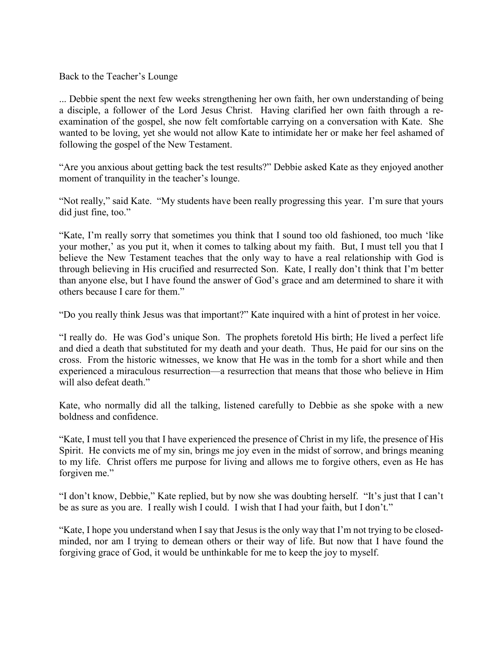Back to the Teacher's Lounge

... Debbie spent the next few weeks strengthening her own faith, her own understanding of being a disciple, a follower of the Lord Jesus Christ. Having clarified her own faith through a reexamination of the gospel, she now felt comfortable carrying on a conversation with Kate. She wanted to be loving, yet she would not allow Kate to intimidate her or make her feel ashamed of following the gospel of the New Testament.

"Are you anxious about getting back the test results?" Debbie asked Kate as they enjoyed another moment of tranquility in the teacher's lounge.

"Not really," said Kate. "My students have been really progressing this year. I'm sure that yours did just fine, too."

"Kate, I'm really sorry that sometimes you think that I sound too old fashioned, too much 'like your mother,' as you put it, when it comes to talking about my faith. But, I must tell you that I believe the New Testament teaches that the only way to have a real relationship with God is through believing in His crucified and resurrected Son. Kate, I really don't think that I'm better than anyone else, but I have found the answer of God's grace and am determined to share it with others because I care for them."

"Do you really think Jesus was that important?" Kate inquired with a hint of protest in her voice.

"I really do. He was God's unique Son. The prophets foretold His birth; He lived a perfect life and died a death that substituted for my death and your death. Thus, He paid for our sins on the cross. From the historic witnesses, we know that He was in the tomb for a short while and then experienced a miraculous resurrection—a resurrection that means that those who believe in Him will also defeat death."

Kate, who normally did all the talking, listened carefully to Debbie as she spoke with a new boldness and confidence.

"Kate, I must tell you that I have experienced the presence of Christ in my life, the presence of His Spirit. He convicts me of my sin, brings me joy even in the midst of sorrow, and brings meaning to my life. Christ offers me purpose for living and allows me to forgive others, even as He has forgiven me."

"I don't know, Debbie," Kate replied, but by now she was doubting herself. "It's just that I can't be as sure as you are. I really wish I could. I wish that I had your faith, but I don't."

"Kate, I hope you understand when I say that Jesus is the only way that I'm not trying to be closedminded, nor am I trying to demean others or their way of life. But now that I have found the forgiving grace of God, it would be unthinkable for me to keep the joy to myself.